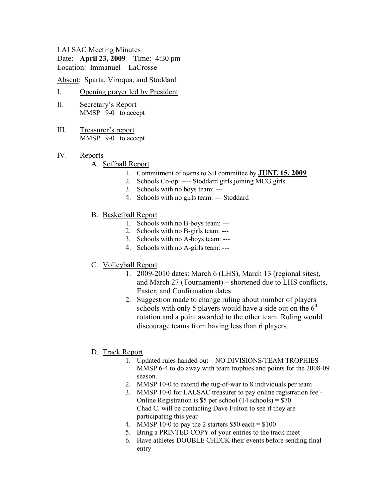#### LALSAC Meeting Minutes

Date: **April 23, 2009** Time: 4:30 pm Location: Immanuel – LaCrosse

Absent: Sparta, Viroqua, and Stoddard

## I. Opening prayer led by President

- II. Secretary's Report MMSP 9-0 to accept
- III. Treasurer's report MMSP 9-0 to accept
- IV. Reports

### A. Softball Report

- 1. Commitment of teams to SB committee by **JUNE 15, 2009**
- 2. Schools Co-op: ---- Stoddard girls joining MCG girls
- 3. Schools with no boys team: ---
- 4. Schools with no girls team: --- Stoddard
- B. Basketball Report
	- 1. Schools with no B-boys team: ---
	- 2. Schools with no B-girls team: ---
	- 3. Schools with no A-boys team: ---
	- 4. Schools with no A-girls team: ---
- C. Volleyball Report
	- 1. 2009-2010 dates: March 6 (LHS), March 13 (regional sites), and March 27 (Tournament) – shortened due to LHS conflicts, Easter, and Confirmation dates.
	- 2. Suggestion made to change ruling about number of players schools with only 5 players would have a side out on the  $6<sup>th</sup>$ rotation and a point awarded to the other team. Ruling would discourage teams from having less than 6 players.
- D. Track Report
	- 1. Updated rules handed out NO DIVISIONS/TEAM TROPHIES MMSP 6-4 to do away with team trophies and points for the 2008-09 season.
	- 2. MMSP 10-0 to extend the tug-of-war to 8 individuals per team
	- 3. MMSP 10-0 for LALSAC treasurer to pay online registration fee Online Registration is \$5 per school (14 schools) =  $$70$ Chad C. will be contacting Dave Fulton to see if they are participating this year
	- 4. MMSP 10-0 to pay the 2 starters  $$50$  each =  $$100$
	- 5. Bring a PRINTED COPY of your entries to the track meet
	- 6. Have athletes DOUBLE CHECK their events before sending final entry